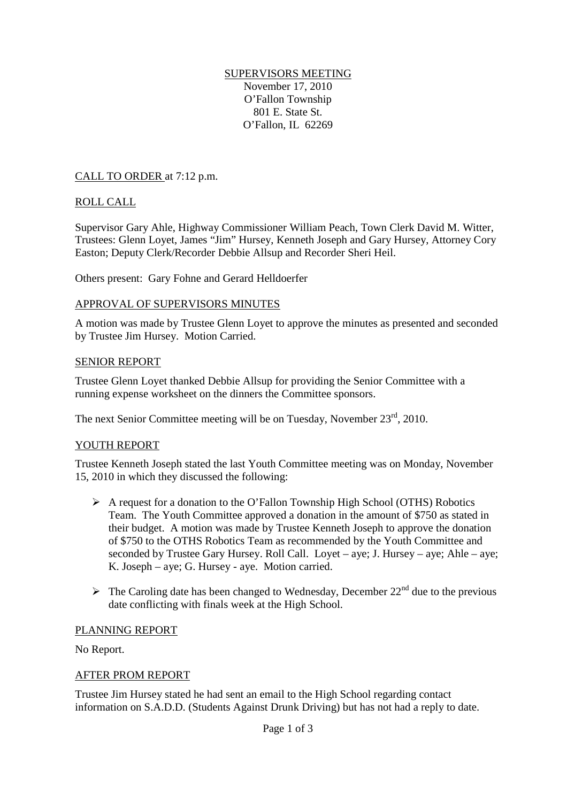#### SUPERVISORS MEETING November 17, 2010

O'Fallon Township 801 E. State St. O'Fallon, IL 62269

# CALL TO ORDER at 7:12 p.m.

# ROLL CALL

Supervisor Gary Ahle, Highway Commissioner William Peach, Town Clerk David M. Witter, Trustees: Glenn Loyet, James "Jim" Hursey, Kenneth Joseph and Gary Hursey, Attorney Cory Easton; Deputy Clerk/Recorder Debbie Allsup and Recorder Sheri Heil.

Others present: Gary Fohne and Gerard Helldoerfer

# APPROVAL OF SUPERVISORS MINUTES

A motion was made by Trustee Glenn Loyet to approve the minutes as presented and seconded by Trustee Jim Hursey. Motion Carried.

# SENIOR REPORT

Trustee Glenn Loyet thanked Debbie Allsup for providing the Senior Committee with a running expense worksheet on the dinners the Committee sponsors.

The next Senior Committee meeting will be on Tuesday, November 23<sup>rd</sup>, 2010.

# YOUTH REPORT

Trustee Kenneth Joseph stated the last Youth Committee meeting was on Monday, November 15, 2010 in which they discussed the following:

- $\triangleright$  A request for a donation to the O'Fallon Township High School (OTHS) Robotics Team. The Youth Committee approved a donation in the amount of \$750 as stated in their budget. A motion was made by Trustee Kenneth Joseph to approve the donation of \$750 to the OTHS Robotics Team as recommended by the Youth Committee and seconded by Trustee Gary Hursey. Roll Call. Loyet – aye; J. Hursey – aye; Ahle – aye; K. Joseph – aye; G. Hursey - aye. Motion carried.
- $\triangleright$  The Caroling date has been changed to Wednesday, December 22<sup>nd</sup> due to the previous date conflicting with finals week at the High School.

# PLANNING REPORT

No Report.

# AFTER PROM REPORT

Trustee Jim Hursey stated he had sent an email to the High School regarding contact information on S.A.D.D. (Students Against Drunk Driving) but has not had a reply to date.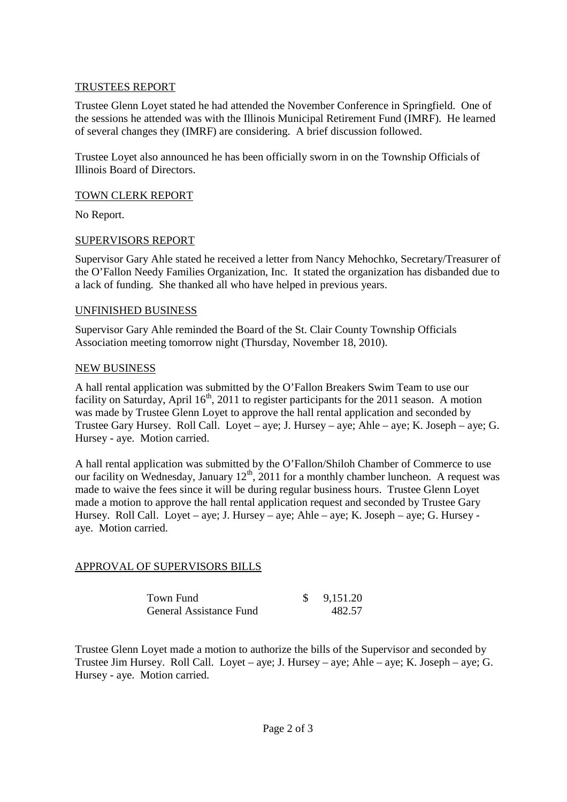### TRUSTEES REPORT

Trustee Glenn Loyet stated he had attended the November Conference in Springfield. One of the sessions he attended was with the Illinois Municipal Retirement Fund (IMRF). He learned of several changes they (IMRF) are considering. A brief discussion followed.

Trustee Loyet also announced he has been officially sworn in on the Township Officials of Illinois Board of Directors.

### TOWN CLERK REPORT

No Report.

### SUPERVISORS REPORT

Supervisor Gary Ahle stated he received a letter from Nancy Mehochko, Secretary/Treasurer of the O'Fallon Needy Families Organization, Inc. It stated the organization has disbanded due to a lack of funding. She thanked all who have helped in previous years.

### UNFINISHED BUSINESS

Supervisor Gary Ahle reminded the Board of the St. Clair County Township Officials Association meeting tomorrow night (Thursday, November 18, 2010).

#### NEW BUSINESS

A hall rental application was submitted by the O'Fallon Breakers Swim Team to use our facility on Saturday, April  $16<sup>th</sup>$ , 2011 to register participants for the 2011 season. A motion was made by Trustee Glenn Loyet to approve the hall rental application and seconded by Trustee Gary Hursey. Roll Call. Loyet – aye; J. Hursey – aye; Ahle – aye; K. Joseph – aye; G. Hursey - aye. Motion carried.

A hall rental application was submitted by the O'Fallon/Shiloh Chamber of Commerce to use our facility on Wednesday, January  $12<sup>th</sup>$ , 2011 for a monthly chamber luncheon. A request was made to waive the fees since it will be during regular business hours. Trustee Glenn Loyet made a motion to approve the hall rental application request and seconded by Trustee Gary Hursey. Roll Call. Loyet – aye; J. Hursey – aye; Ahle – aye; K. Joseph – aye; G. Hursey aye. Motion carried.

### APPROVAL OF SUPERVISORS BILLS

| Town Fund               | 9,151.20 |
|-------------------------|----------|
| General Assistance Fund | 482.57   |

Trustee Glenn Loyet made a motion to authorize the bills of the Supervisor and seconded by Trustee Jim Hursey. Roll Call. Loyet – aye; J. Hursey – aye; Ahle – aye; K. Joseph – aye; G. Hursey - aye. Motion carried.